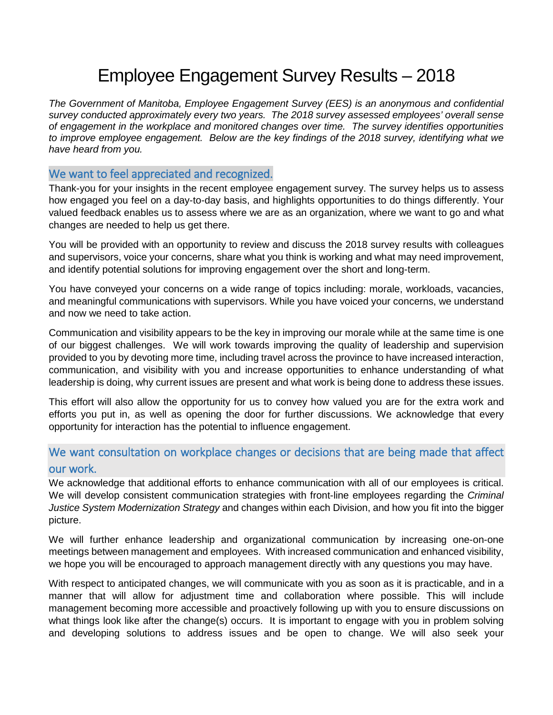# Employee Engagement Survey Results – 2018

*The Government of Manitoba, Employee Engagement Survey (EES) is an anonymous and confidential survey conducted approximately every two years. The 2018 survey assessed employees' overall sense of engagement in the workplace and monitored changes over time. The survey identifies opportunities to improve employee engagement. Below are the key findings of the 2018 survey, identifying what we have heard from you.*

## We want to feel appreciated and recognized.

Thank-you for your insights in the recent employee engagement survey. The survey helps us to assess how engaged you feel on a day-to-day basis, and highlights opportunities to do things differently. Your valued feedback enables us to assess where we are as an organization, where we want to go and what changes are needed to help us get there.

You will be provided with an opportunity to review and discuss the 2018 survey results with colleagues and supervisors, voice your concerns, share what you think is working and what may need improvement, and identify potential solutions for improving engagement over the short and long-term.

You have conveyed your concerns on a wide range of topics including: morale, workloads, vacancies, and meaningful communications with supervisors. While you have voiced your concerns, we understand and now we need to take action.

Communication and visibility appears to be the key in improving our morale while at the same time is one of our biggest challenges. We will work towards improving the quality of leadership and supervision provided to you by devoting more time, including travel across the province to have increased interaction, communication, and visibility with you and increase opportunities to enhance understanding of what leadership is doing, why current issues are present and what work is being done to address these issues.

This effort will also allow the opportunity for us to convey how valued you are for the extra work and efforts you put in, as well as opening the door for further discussions. We acknowledge that every opportunity for interaction has the potential to influence engagement.

# We want consultation on workplace changes or decisions that are being made that affect our work.

We acknowledge that additional efforts to enhance communication with all of our employees is critical. We will develop consistent communication strategies with front-line employees regarding the *Criminal Justice System Modernization Strategy* and changes within each Division, and how you fit into the bigger picture.

We will further enhance leadership and organizational communication by increasing one-on-one meetings between management and employees. With increased communication and enhanced visibility, we hope you will be encouraged to approach management directly with any questions you may have.

With respect to anticipated changes, we will communicate with you as soon as it is practicable, and in a manner that will allow for adjustment time and collaboration where possible. This will include management becoming more accessible and proactively following up with you to ensure discussions on what things look like after the change(s) occurs. It is important to engage with you in problem solving and developing solutions to address issues and be open to change. We will also seek your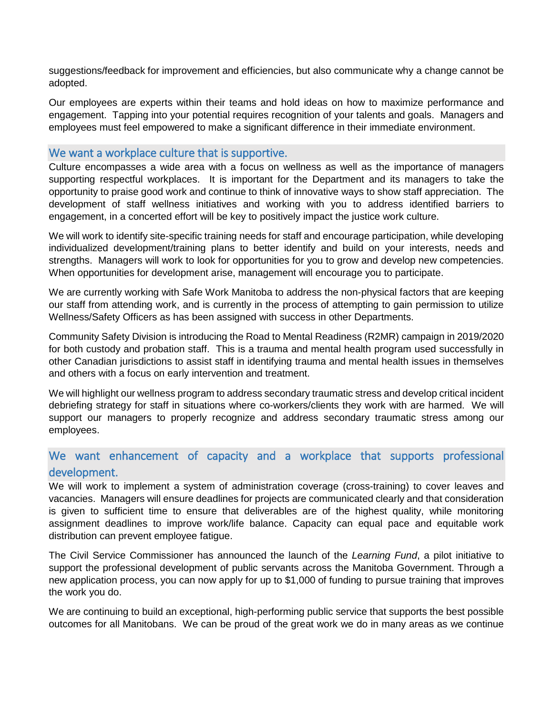suggestions/feedback for improvement and efficiencies, but also communicate why a change cannot be adopted.

Our employees are experts within their teams and hold ideas on how to maximize performance and engagement. Tapping into your potential requires recognition of your talents and goals. Managers and employees must feel empowered to make a significant difference in their immediate environment.

#### We want a workplace culture that is supportive.

Culture encompasses a wide area with a focus on wellness as well as the importance of managers supporting respectful workplaces. It is important for the Department and its managers to take the opportunity to praise good work and continue to think of innovative ways to show staff appreciation. The development of staff wellness initiatives and working with you to address identified barriers to engagement, in a concerted effort will be key to positively impact the justice work culture.

We will work to identify site-specific training needs for staff and encourage participation, while developing individualized development/training plans to better identify and build on your interests, needs and strengths. Managers will work to look for opportunities for you to grow and develop new competencies. When opportunities for development arise, management will encourage you to participate.

We are currently working with Safe Work Manitoba to address the non-physical factors that are keeping our staff from attending work, and is currently in the process of attempting to gain permission to utilize Wellness/Safety Officers as has been assigned with success in other Departments.

Community Safety Division is introducing the Road to Mental Readiness (R2MR) campaign in 2019/2020 for both custody and probation staff. This is a trauma and mental health program used successfully in other Canadian jurisdictions to assist staff in identifying trauma and mental health issues in themselves and others with a focus on early intervention and treatment.

We will highlight our wellness program to address secondary traumatic stress and develop critical incident debriefing strategy for staff in situations where co-workers/clients they work with are harmed. We will support our managers to properly recognize and address secondary traumatic stress among our employees.

## We want enhancement of capacity and a workplace that supports professional development.

We will work to implement a system of administration coverage (cross-training) to cover leaves and vacancies. Managers will ensure deadlines for projects are communicated clearly and that consideration is given to sufficient time to ensure that deliverables are of the highest quality, while monitoring assignment deadlines to improve work/life balance. Capacity can equal pace and equitable work distribution can prevent employee fatigue.

The Civil Service Commissioner has announced the launch of the *Learning Fund*, a pilot initiative to support the professional development of public servants across the Manitoba Government. Through a new application process, you can now apply for up to \$1,000 of funding to pursue training that improves the work you do.

We are continuing to build an exceptional, high-performing public service that supports the best possible outcomes for all Manitobans. We can be proud of the great work we do in many areas as we continue